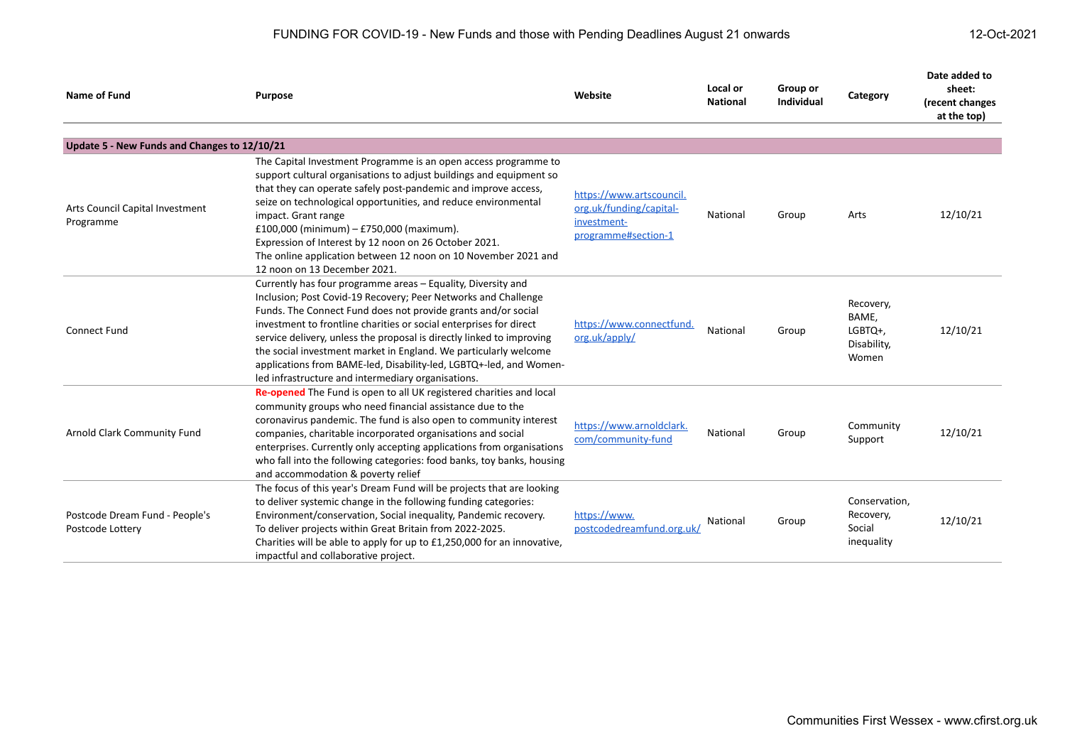FUNDING FOR COVID-19 - New Funds and those with Pending Deadlines August 21 onwards 12-Oct-2021

| <b>Name of Fund</b>                                | <b>Purpose</b>                                                                                                                                                                                                                                                                                                                                                                                                                                                                                                                                 | Website                                                                                   | Local or<br><b>National</b> | Group or<br>Individual | Category                                              | Date added to<br>sheet:<br>(recent changes<br>at the top) |
|----------------------------------------------------|------------------------------------------------------------------------------------------------------------------------------------------------------------------------------------------------------------------------------------------------------------------------------------------------------------------------------------------------------------------------------------------------------------------------------------------------------------------------------------------------------------------------------------------------|-------------------------------------------------------------------------------------------|-----------------------------|------------------------|-------------------------------------------------------|-----------------------------------------------------------|
| Update 5 - New Funds and Changes to 12/10/21       |                                                                                                                                                                                                                                                                                                                                                                                                                                                                                                                                                |                                                                                           |                             |                        |                                                       |                                                           |
| Arts Council Capital Investment<br>Programme       | The Capital Investment Programme is an open access programme to<br>support cultural organisations to adjust buildings and equipment so<br>that they can operate safely post-pandemic and improve access,<br>seize on technological opportunities, and reduce environmental<br>impact. Grant range<br>£100,000 (minimum) - £750,000 (maximum).<br>Expression of Interest by 12 noon on 26 October 2021.<br>The online application between 12 noon on 10 November 2021 and<br>12 noon on 13 December 2021.                                       | https://www.artscouncil.<br>org.uk/funding/capital-<br>investment-<br>programme#section-1 | National                    | Group                  | Arts                                                  | 12/10/21                                                  |
| <b>Connect Fund</b>                                | Currently has four programme areas - Equality, Diversity and<br>Inclusion; Post Covid-19 Recovery; Peer Networks and Challenge<br>Funds. The Connect Fund does not provide grants and/or social<br>investment to frontline charities or social enterprises for direct<br>service delivery, unless the proposal is directly linked to improving<br>the social investment market in England. We particularly welcome<br>applications from BAME-led, Disability-led, LGBTQ+-led, and Women-<br>led infrastructure and intermediary organisations. | https://www.connectfund.<br>org.uk/apply/                                                 | National                    | Group                  | Recovery,<br>BAME,<br>LGBTQ+,<br>Disability,<br>Women | 12/10/21                                                  |
| Arnold Clark Community Fund                        | <b>Re-opened</b> The Fund is open to all UK registered charities and local<br>community groups who need financial assistance due to the<br>coronavirus pandemic. The fund is also open to community interest<br>companies, charitable incorporated organisations and social<br>enterprises. Currently only accepting applications from organisations<br>who fall into the following categories: food banks, toy banks, housing<br>and accommodation & poverty relief                                                                           | https://www.arnoldclark.<br>com/community-fund                                            | National                    | Group                  | Community<br>Support                                  | 12/10/21                                                  |
| Postcode Dream Fund - People's<br>Postcode Lottery | The focus of this year's Dream Fund will be projects that are looking<br>to deliver systemic change in the following funding categories:<br>Environment/conservation, Social inequality, Pandemic recovery.<br>To deliver projects within Great Britain from 2022-2025.<br>Charities will be able to apply for up to £1,250,000 for an innovative,<br>impactful and collaborative project.                                                                                                                                                     | https://www.<br>postcodedreamfund.org.uk/                                                 | National                    | Group                  | Conservation,<br>Recovery,<br>Social<br>inequality    | 12/10/21                                                  |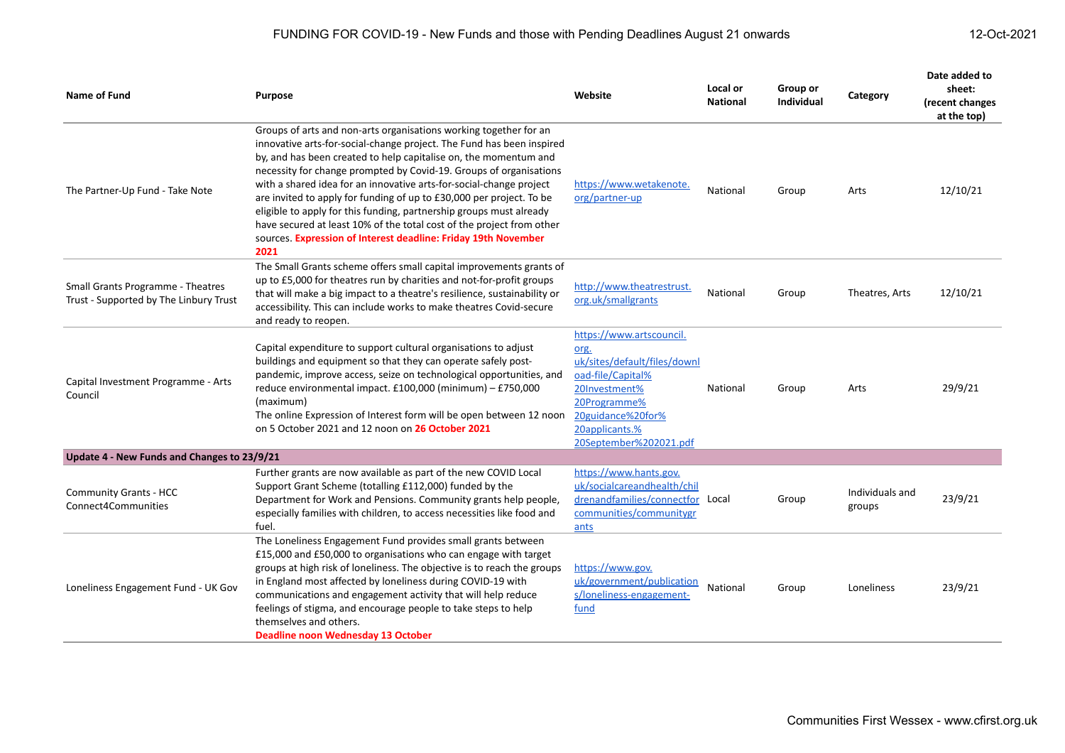| Name of Fund                                                                       | <b>Purpose</b>                                                                                                                                                                                                                                                                                                                                                                                                                                                                                                                                                                                                                                                | Website                                                                                                                                                                                 | Local or<br><b>National</b> | Group or<br><b>Individual</b> | Category                  | Date added to<br>sheet:<br>(recent changes<br>at the top) |
|------------------------------------------------------------------------------------|---------------------------------------------------------------------------------------------------------------------------------------------------------------------------------------------------------------------------------------------------------------------------------------------------------------------------------------------------------------------------------------------------------------------------------------------------------------------------------------------------------------------------------------------------------------------------------------------------------------------------------------------------------------|-----------------------------------------------------------------------------------------------------------------------------------------------------------------------------------------|-----------------------------|-------------------------------|---------------------------|-----------------------------------------------------------|
| The Partner-Up Fund - Take Note                                                    | Groups of arts and non-arts organisations working together for an<br>innovative arts-for-social-change project. The Fund has been inspired<br>by, and has been created to help capitalise on, the momentum and<br>necessity for change prompted by Covid-19. Groups of organisations<br>with a shared idea for an innovative arts-for-social-change project<br>are invited to apply for funding of up to £30,000 per project. To be<br>eligible to apply for this funding, partnership groups must already<br>have secured at least 10% of the total cost of the project from other<br>sources. Expression of Interest deadline: Friday 19th November<br>2021 | https://www.wetakenote.<br>org/partner-up                                                                                                                                               | National                    | Group                         | Arts                      | 12/10/21                                                  |
| <b>Small Grants Programme - Theatres</b><br>Trust - Supported by The Linbury Trust | The Small Grants scheme offers small capital improvements grants of<br>up to £5,000 for theatres run by charities and not-for-profit groups<br>that will make a big impact to a theatre's resilience, sustainability or<br>accessibility. This can include works to make theatres Covid-secure<br>and ready to reopen.                                                                                                                                                                                                                                                                                                                                        | http://www.theatrestrust.<br>org.uk/smallgrants                                                                                                                                         | National                    | Group                         | Theatres, Arts            | 12/10/21                                                  |
| Capital Investment Programme - Arts<br>Council                                     | Capital expenditure to support cultural organisations to adjust<br>buildings and equipment so that they can operate safely post-<br>pandemic, improve access, seize on technological opportunities, and<br>reduce environmental impact. £100,000 (minimum) - £750,000<br>(maximum)<br>The online Expression of Interest form will be open between 12 noon<br>on 5 October 2021 and 12 noon on 26 October 2021                                                                                                                                                                                                                                                 | https://www.artscouncil.<br>org.<br>uk/sites/default/files/downl<br>oad-file/Capital%<br>20Investment%<br>20Programme%<br>20guidance%20for%<br>20applicants.%<br>20September%202021.pdf | National                    | Group                         | Arts                      | 29/9/21                                                   |
| Update 4 - New Funds and Changes to 23/9/21                                        |                                                                                                                                                                                                                                                                                                                                                                                                                                                                                                                                                                                                                                                               |                                                                                                                                                                                         |                             |                               |                           |                                                           |
| <b>Community Grants - HCC</b><br>Connect4Communities                               | Further grants are now available as part of the new COVID Local<br>Support Grant Scheme (totalling £112,000) funded by the<br>Department for Work and Pensions. Community grants help people,<br>especially families with children, to access necessities like food and<br>fuel.                                                                                                                                                                                                                                                                                                                                                                              | https://www.hants.gov.<br>uk/socialcareandhealth/chil<br>drenandfamilies/connectfor Local<br>communities/communitygr<br>ants                                                            |                             | Group                         | Individuals and<br>groups | 23/9/21                                                   |
| Loneliness Engagement Fund - UK Gov                                                | The Loneliness Engagement Fund provides small grants between<br>£15,000 and £50,000 to organisations who can engage with target<br>groups at high risk of loneliness. The objective is to reach the groups<br>in England most affected by loneliness during COVID-19 with<br>communications and engagement activity that will help reduce<br>feelings of stigma, and encourage people to take steps to help<br>themselves and others.<br><b>Deadline noon Wednesday 13 October</b>                                                                                                                                                                            | https://www.gov.<br>uk/government/publication<br>s/loneliness-engagement-<br>fund                                                                                                       | National                    | Group                         | Loneliness                | 23/9/21                                                   |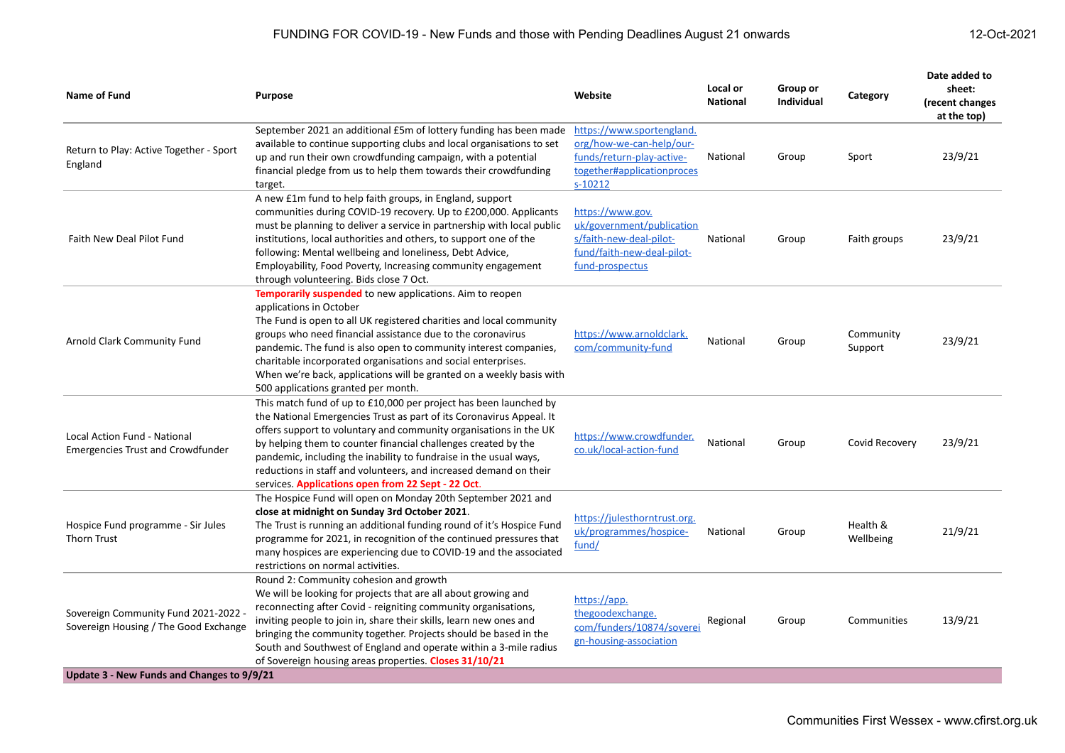| Name of Fund                                                                                                                | <b>Purpose</b>                                                                                                                                                                                                                                                                                                                                                                                                                                                                       | Website                                                                                                                       | Local or<br><b>National</b> | Group or<br><b>Individual</b> | Category              | Date added to<br>sheet:<br>(recent changes<br>at the top) |
|-----------------------------------------------------------------------------------------------------------------------------|--------------------------------------------------------------------------------------------------------------------------------------------------------------------------------------------------------------------------------------------------------------------------------------------------------------------------------------------------------------------------------------------------------------------------------------------------------------------------------------|-------------------------------------------------------------------------------------------------------------------------------|-----------------------------|-------------------------------|-----------------------|-----------------------------------------------------------|
| Return to Play: Active Together - Sport<br>England                                                                          | September 2021 an additional £5m of lottery funding has been made<br>available to continue supporting clubs and local organisations to set<br>up and run their own crowdfunding campaign, with a potential<br>financial pledge from us to help them towards their crowdfunding<br>target.                                                                                                                                                                                            | https://www.sportengland.<br>org/how-we-can-help/our-<br>funds/return-play-active-<br>together#applicationproces<br>$s-10212$ | National                    | Group                         | Sport                 | 23/9/21                                                   |
| Faith New Deal Pilot Fund                                                                                                   | A new £1m fund to help faith groups, in England, support<br>communities during COVID-19 recovery. Up to £200,000. Applicants<br>must be planning to deliver a service in partnership with local public<br>institutions, local authorities and others, to support one of the<br>following: Mental wellbeing and loneliness, Debt Advice,<br>Employability, Food Poverty, Increasing community engagement<br>through volunteering. Bids close 7 Oct.                                   | https://www.gov.<br>uk/government/publication<br>s/faith-new-deal-pilot-<br>fund/faith-new-deal-pilot-<br>fund-prospectus     | National                    | Group                         | Faith groups          | 23/9/21                                                   |
| Arnold Clark Community Fund                                                                                                 | <b>Temporarily suspended</b> to new applications. Aim to reopen<br>applications in October<br>The Fund is open to all UK registered charities and local community<br>groups who need financial assistance due to the coronavirus<br>pandemic. The fund is also open to community interest companies,<br>charitable incorporated organisations and social enterprises.<br>When we're back, applications will be granted on a weekly basis with<br>500 applications granted per month. | https://www.arnoldclark.<br>com/community-fund                                                                                | National                    | Group                         | Community<br>Support  | 23/9/21                                                   |
| <b>Local Action Fund - National</b><br><b>Emergencies Trust and Crowdfunder</b>                                             | This match fund of up to £10,000 per project has been launched by<br>the National Emergencies Trust as part of its Coronavirus Appeal. It<br>offers support to voluntary and community organisations in the UK<br>by helping them to counter financial challenges created by the<br>pandemic, including the inability to fundraise in the usual ways,<br>reductions in staff and volunteers, and increased demand on their<br>services. Applications open from 22 Sept - 22 Oct.     | https://www.crowdfunder.<br>co.uk/local-action-fund                                                                           | National                    | Group                         | Covid Recovery        | 23/9/21                                                   |
| Hospice Fund programme - Sir Jules<br>Thorn Trust                                                                           | The Hospice Fund will open on Monday 20th September 2021 and<br>close at midnight on Sunday 3rd October 2021.<br>The Trust is running an additional funding round of it's Hospice Fund<br>programme for 2021, in recognition of the continued pressures that<br>many hospices are experiencing due to COVID-19 and the associated<br>restrictions on normal activities.                                                                                                              | https://julesthorntrust.org.<br>uk/programmes/hospice-<br>fund/                                                               | National                    | Group                         | Health &<br>Wellbeing | 21/9/21                                                   |
| Sovereign Community Fund 2021-2022 -<br>Sovereign Housing / The Good Exchange<br>Update 3 - New Funds and Changes to 9/9/21 | Round 2: Community cohesion and growth<br>We will be looking for projects that are all about growing and<br>reconnecting after Covid - reigniting community organisations,<br>inviting people to join in, share their skills, learn new ones and<br>bringing the community together. Projects should be based in the<br>South and Southwest of England and operate within a 3-mile radius<br>of Sovereign housing areas properties. Closes 31/10/21                                  | https://app.<br>thegoodexchange.<br>com/funders/10874/soverei<br>gn-housing-association                                       | Regional                    | Group                         | Communities           | 13/9/21                                                   |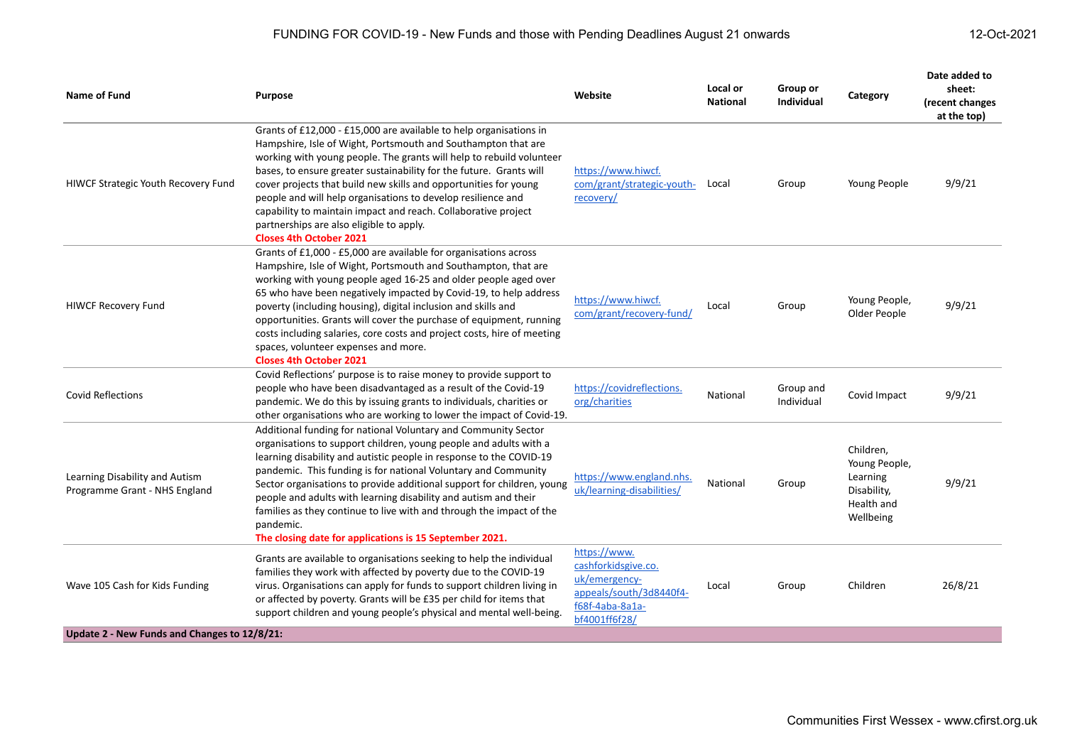| Name of Fund                                                                   | <b>Purpose</b>                                                                                                                                                                                                                                                                                                                                                                                                                                                                                                                                                            | Website                                                                                                             | Local or<br><b>National</b> | Group or<br><b>Individual</b> | Category                                                                         | Date added to<br>sheet:<br>(recent changes<br>at the top) |
|--------------------------------------------------------------------------------|---------------------------------------------------------------------------------------------------------------------------------------------------------------------------------------------------------------------------------------------------------------------------------------------------------------------------------------------------------------------------------------------------------------------------------------------------------------------------------------------------------------------------------------------------------------------------|---------------------------------------------------------------------------------------------------------------------|-----------------------------|-------------------------------|----------------------------------------------------------------------------------|-----------------------------------------------------------|
| HIWCF Strategic Youth Recovery Fund                                            | Grants of £12,000 - £15,000 are available to help organisations in<br>Hampshire, Isle of Wight, Portsmouth and Southampton that are<br>working with young people. The grants will help to rebuild volunteer<br>bases, to ensure greater sustainability for the future. Grants will<br>cover projects that build new skills and opportunities for young<br>people and will help organisations to develop resilience and<br>capability to maintain impact and reach. Collaborative project<br>partnerships are also eligible to apply.<br><b>Closes 4th October 2021</b>    | https://www.hiwcf.<br>com/grant/strategic-youth-<br>recovery/                                                       | Local                       | Group                         | Young People                                                                     | 9/9/21                                                    |
| <b>HIWCF Recovery Fund</b>                                                     | Grants of £1,000 - £5,000 are available for organisations across<br>Hampshire, Isle of Wight, Portsmouth and Southampton, that are<br>working with young people aged 16-25 and older people aged over<br>65 who have been negatively impacted by Covid-19, to help address<br>poverty (including housing), digital inclusion and skills and<br>opportunities. Grants will cover the purchase of equipment, running<br>costs including salaries, core costs and project costs, hire of meeting<br>spaces, volunteer expenses and more.<br><b>Closes 4th October 2021</b>   | https://www.hiwcf.<br>com/grant/recovery-fund/                                                                      | Local                       | Group                         | Young People,<br>Older People                                                    | 9/9/21                                                    |
| <b>Covid Reflections</b>                                                       | Covid Reflections' purpose is to raise money to provide support to<br>people who have been disadvantaged as a result of the Covid-19<br>pandemic. We do this by issuing grants to individuals, charities or<br>other organisations who are working to lower the impact of Covid-19.                                                                                                                                                                                                                                                                                       | https://covidreflections.<br>org/charities                                                                          | National                    | Group and<br>Individual       | Covid Impact                                                                     | 9/9/21                                                    |
| Learning Disability and Autism<br>Programme Grant - NHS England                | Additional funding for national Voluntary and Community Sector<br>organisations to support children, young people and adults with a<br>learning disability and autistic people in response to the COVID-19<br>pandemic. This funding is for national Voluntary and Community<br>Sector organisations to provide additional support for children, young<br>people and adults with learning disability and autism and their<br>families as they continue to live with and through the impact of the<br>pandemic.<br>The closing date for applications is 15 September 2021. | https://www.england.nhs.<br>uk/learning-disabilities/                                                               | National                    | Group                         | Children,<br>Young People,<br>Learning<br>Disability,<br>Health and<br>Wellbeing | 9/9/21                                                    |
| Wave 105 Cash for Kids Funding<br>Update 2 - New Funds and Changes to 12/8/21: | Grants are available to organisations seeking to help the individual<br>families they work with affected by poverty due to the COVID-19<br>virus. Organisations can apply for funds to support children living in<br>or affected by poverty. Grants will be £35 per child for items that<br>support children and young people's physical and mental well-being.                                                                                                                                                                                                           | https://www.<br>cashforkidsgive.co.<br>uk/emergency-<br>appeals/south/3d8440f4-<br>f68f-4aba-8a1a-<br>bf4001ff6f28/ | Local                       | Group                         | Children                                                                         | 26/8/21                                                   |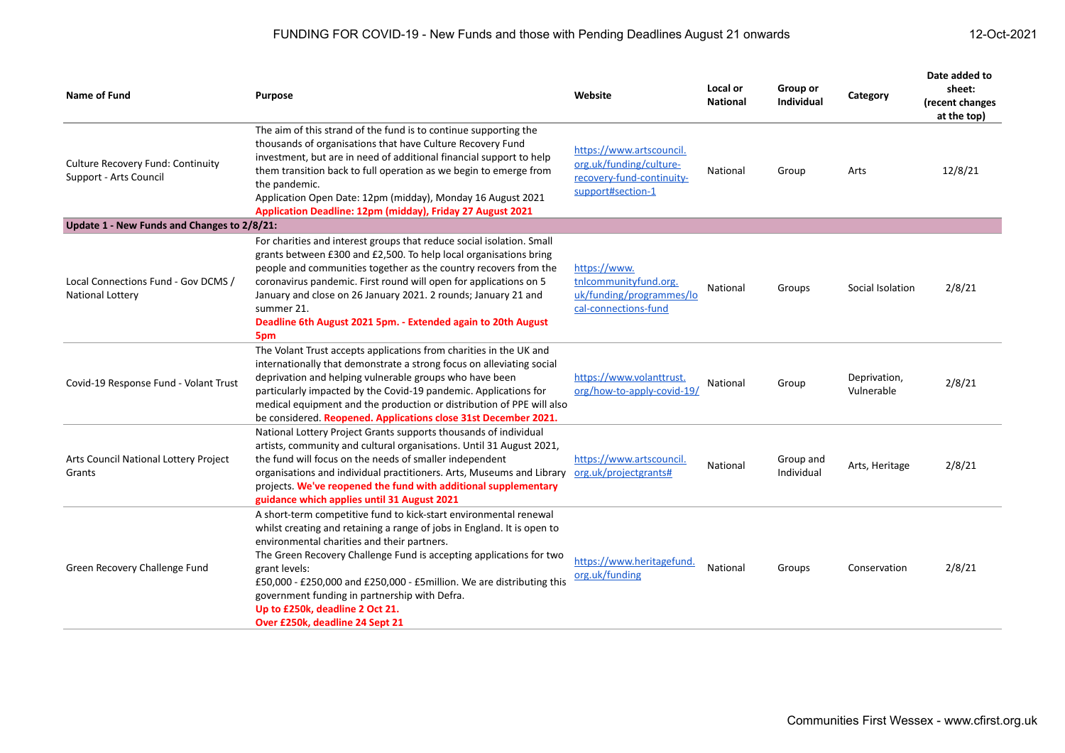| <b>Name of Fund</b>                                                | <b>Purpose</b>                                                                                                                                                                                                                                                                                                                                                                                                                                                                      | Website                                                                                               | Local or<br><b>National</b> | Group or<br><b>Individual</b> | Category                   | Date added to<br>sheet:<br>(recent changes<br>at the top) |
|--------------------------------------------------------------------|-------------------------------------------------------------------------------------------------------------------------------------------------------------------------------------------------------------------------------------------------------------------------------------------------------------------------------------------------------------------------------------------------------------------------------------------------------------------------------------|-------------------------------------------------------------------------------------------------------|-----------------------------|-------------------------------|----------------------------|-----------------------------------------------------------|
| <b>Culture Recovery Fund: Continuity</b><br>Support - Arts Council | The aim of this strand of the fund is to continue supporting the<br>thousands of organisations that have Culture Recovery Fund<br>investment, but are in need of additional financial support to help<br>them transition back to full operation as we begin to emerge from<br>the pandemic.<br>Application Open Date: 12pm (midday), Monday 16 August 2021<br>Application Deadline: 12pm (midday), Friday 27 August 2021                                                            | https://www.artscouncil.<br>org.uk/funding/culture-<br>recovery-fund-continuity-<br>support#section-1 | National                    | Group                         | Arts                       | 12/8/21                                                   |
| Update 1 - New Funds and Changes to 2/8/21:                        |                                                                                                                                                                                                                                                                                                                                                                                                                                                                                     |                                                                                                       |                             |                               |                            |                                                           |
| Local Connections Fund - Gov DCMS /<br>National Lottery            | For charities and interest groups that reduce social isolation. Small<br>grants between £300 and £2,500. To help local organisations bring<br>people and communities together as the country recovers from the<br>coronavirus pandemic. First round will open for applications on 5<br>January and close on 26 January 2021. 2 rounds; January 21 and<br>summer 21.<br>Deadline 6th August 2021 5pm. - Extended again to 20th August<br>5pm                                         | https://www.<br>tnlcommunityfund.org.<br>uk/funding/programmes/lo<br>cal-connections-fund             | National                    | Groups                        | Social Isolation           | 2/8/21                                                    |
| Covid-19 Response Fund - Volant Trust                              | The Volant Trust accepts applications from charities in the UK and<br>internationally that demonstrate a strong focus on alleviating social<br>deprivation and helping vulnerable groups who have been<br>particularly impacted by the Covid-19 pandemic. Applications for<br>medical equipment and the production or distribution of PPE will also<br>be considered. Reopened. Applications close 31st December 2021.                                                              | https://www.volanttrust.<br>org/how-to-apply-covid-19/                                                | National                    | Group                         | Deprivation,<br>Vulnerable | 2/8/21                                                    |
| Arts Council National Lottery Project<br>Grants                    | National Lottery Project Grants supports thousands of individual<br>artists, community and cultural organisations. Until 31 August 2021,<br>the fund will focus on the needs of smaller independent<br>organisations and individual practitioners. Arts, Museums and Library<br>projects. We've reopened the fund with additional supplementary<br>guidance which applies until 31 August 2021                                                                                      | https://www.artscouncil.<br>org.uk/projectgrants#                                                     | National                    | Group and<br>Individual       | Arts, Heritage             | 2/8/21                                                    |
| Green Recovery Challenge Fund                                      | A short-term competitive fund to kick-start environmental renewal<br>whilst creating and retaining a range of jobs in England. It is open to<br>environmental charities and their partners.<br>The Green Recovery Challenge Fund is accepting applications for two<br>grant levels:<br>£50,000 - £250,000 and £250,000 - £5million. We are distributing this<br>government funding in partnership with Defra.<br>Up to £250k, deadline 2 Oct 21.<br>Over £250k, deadline 24 Sept 21 | https://www.heritagefund.<br>org.uk/funding                                                           | National                    | Groups                        | Conservation               | 2/8/21                                                    |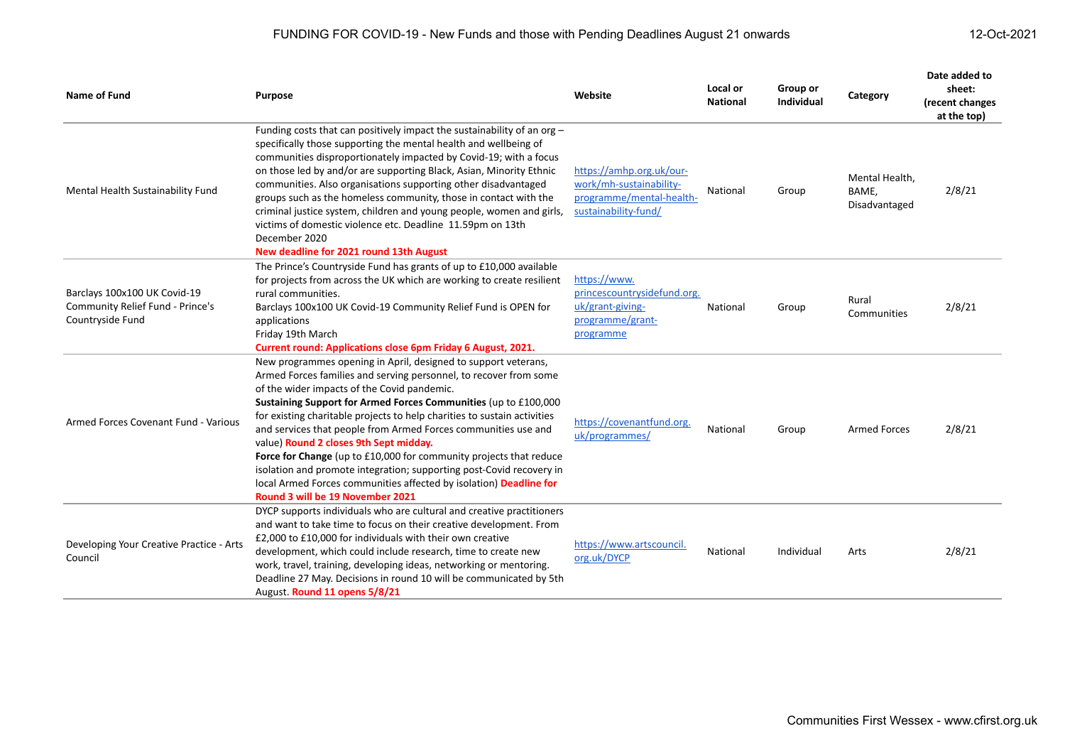| <b>Name of Fund</b>                                                                  | <b>Purpose</b>                                                                                                                                                                                                                                                                                                                                                                                                                                                                                                                                                                                                                                                                                        | Website                                                                                                 | Local or<br><b>National</b> | Group or<br>Individual | Category                                 | Date added to<br>sheet:<br>(recent changes<br>at the top) |
|--------------------------------------------------------------------------------------|-------------------------------------------------------------------------------------------------------------------------------------------------------------------------------------------------------------------------------------------------------------------------------------------------------------------------------------------------------------------------------------------------------------------------------------------------------------------------------------------------------------------------------------------------------------------------------------------------------------------------------------------------------------------------------------------------------|---------------------------------------------------------------------------------------------------------|-----------------------------|------------------------|------------------------------------------|-----------------------------------------------------------|
| Mental Health Sustainability Fund                                                    | Funding costs that can positively impact the sustainability of an org -<br>specifically those supporting the mental health and wellbeing of<br>communities disproportionately impacted by Covid-19; with a focus<br>on those led by and/or are supporting Black, Asian, Minority Ethnic<br>communities. Also organisations supporting other disadvantaged<br>groups such as the homeless community, those in contact with the<br>criminal justice system, children and young people, women and girls,<br>victims of domestic violence etc. Deadline 11.59pm on 13th<br>December 2020<br>New deadline for 2021 round 13th August                                                                       | https://amhp.org.uk/our-<br>work/mh-sustainability-<br>programme/mental-health-<br>sustainability-fund/ | National                    | Group                  | Mental Health,<br>BAME,<br>Disadvantaged | 2/8/21                                                    |
| Barclays 100x100 UK Covid-19<br>Community Relief Fund - Prince's<br>Countryside Fund | The Prince's Countryside Fund has grants of up to £10,000 available<br>for projects from across the UK which are working to create resilient<br>rural communities.<br>Barclays 100x100 UK Covid-19 Community Relief Fund is OPEN for<br>applications<br>Friday 19th March<br><b>Current round: Applications close 6pm Friday 6 August, 2021.</b>                                                                                                                                                                                                                                                                                                                                                      | https://www.<br>princescountrysidefund.org.<br>uk/grant-giving-<br>programme/grant-<br>programme        | National                    | Group                  | Rural<br>Communities                     | 2/8/21                                                    |
| Armed Forces Covenant Fund - Various                                                 | New programmes opening in April, designed to support veterans,<br>Armed Forces families and serving personnel, to recover from some<br>of the wider impacts of the Covid pandemic.<br>Sustaining Support for Armed Forces Communities (up to £100,000<br>for existing charitable projects to help charities to sustain activities<br>and services that people from Armed Forces communities use and<br>value) Round 2 closes 9th Sept midday.<br>Force for Change (up to £10,000 for community projects that reduce<br>isolation and promote integration; supporting post-Covid recovery in<br>local Armed Forces communities affected by isolation) Deadline for<br>Round 3 will be 19 November 2021 | https://covenantfund.org.<br>uk/programmes/                                                             | National                    | Group                  | <b>Armed Forces</b>                      | 2/8/21                                                    |
| Developing Your Creative Practice - Arts<br>Council                                  | DYCP supports individuals who are cultural and creative practitioners<br>and want to take time to focus on their creative development. From<br>£2,000 to £10,000 for individuals with their own creative<br>development, which could include research, time to create new<br>work, travel, training, developing ideas, networking or mentoring.<br>Deadline 27 May. Decisions in round 10 will be communicated by 5th<br>August. Round 11 opens 5/8/21                                                                                                                                                                                                                                                | https://www.artscouncil.<br>org.uk/DYCP                                                                 | National                    | Individual             | Arts                                     | 2/8/21                                                    |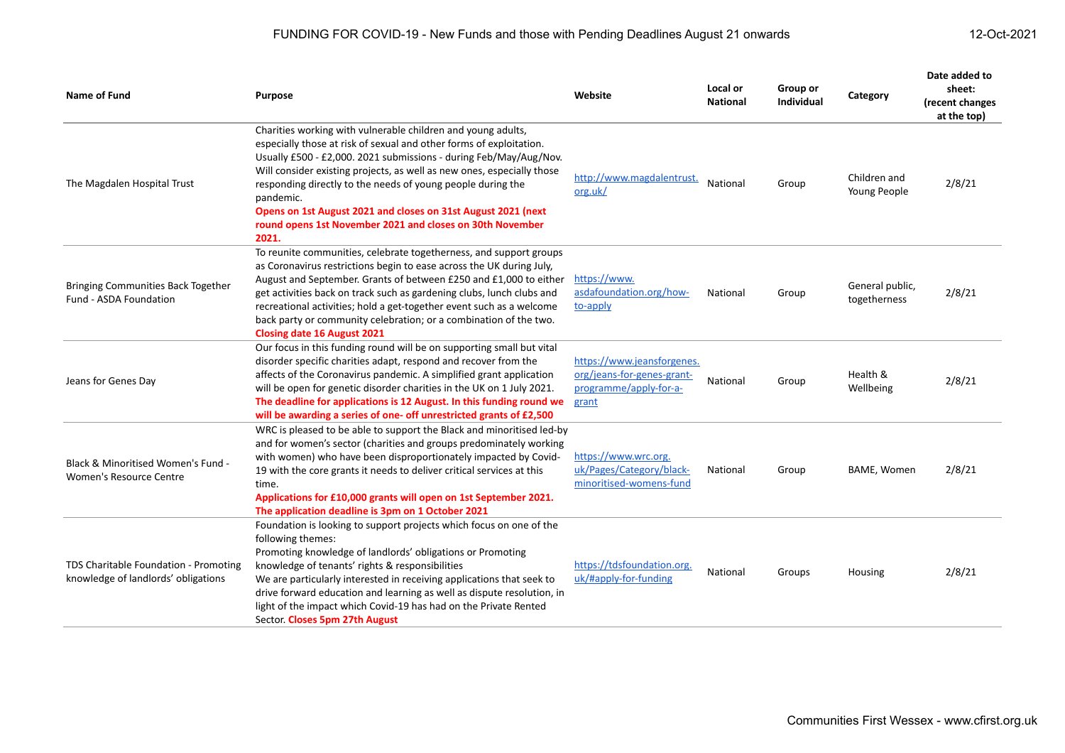| Name of Fund                                                                 | <b>Purpose</b>                                                                                                                                                                                                                                                                                                                                                                                                                                                                                        | Website                                                                                     | Local or<br><b>National</b> | Group or<br>Individual | Category                        | Date added to<br>sheet:<br>(recent changes<br>at the top) |
|------------------------------------------------------------------------------|-------------------------------------------------------------------------------------------------------------------------------------------------------------------------------------------------------------------------------------------------------------------------------------------------------------------------------------------------------------------------------------------------------------------------------------------------------------------------------------------------------|---------------------------------------------------------------------------------------------|-----------------------------|------------------------|---------------------------------|-----------------------------------------------------------|
| The Magdalen Hospital Trust                                                  | Charities working with vulnerable children and young adults,<br>especially those at risk of sexual and other forms of exploitation.<br>Usually £500 - £2,000. 2021 submissions - during Feb/May/Aug/Nov.<br>Will consider existing projects, as well as new ones, especially those<br>responding directly to the needs of young people during the<br>pandemic.<br>Opens on 1st August 2021 and closes on 31st August 2021 (next<br>round opens 1st November 2021 and closes on 30th November<br>2021. | http://www.magdalentrust.<br>org.uk/                                                        | National                    | Group                  | Children and<br>Young People    | 2/8/21                                                    |
| Bringing Communities Back Together<br>Fund - ASDA Foundation                 | To reunite communities, celebrate togetherness, and support groups<br>as Coronavirus restrictions begin to ease across the UK during July,<br>August and September. Grants of between £250 and £1,000 to either<br>get activities back on track such as gardening clubs, lunch clubs and<br>recreational activities; hold a get-together event such as a welcome<br>back party or community celebration; or a combination of the two.<br><b>Closing date 16 August 2021</b>                           | https://www.<br>asdafoundation.org/how-<br>to-apply                                         | National                    | Group                  | General public,<br>togetherness | 2/8/21                                                    |
| Jeans for Genes Day                                                          | Our focus in this funding round will be on supporting small but vital<br>disorder specific charities adapt, respond and recover from the<br>affects of the Coronavirus pandemic. A simplified grant application<br>will be open for genetic disorder charities in the UK on 1 July 2021.<br>The deadline for applications is 12 August. In this funding round we<br>will be awarding a series of one- off unrestricted grants of £2,500                                                               | https://www.jeansforgenes.<br>org/jeans-for-genes-grant-<br>programme/apply-for-a-<br>grant | National                    | Group                  | Health &<br>Wellbeing           | 2/8/21                                                    |
| Black & Minoritised Women's Fund -<br>Women's Resource Centre                | WRC is pleased to be able to support the Black and minoritised led-by<br>and for women's sector (charities and groups predominately working<br>with women) who have been disproportionately impacted by Covid-<br>19 with the core grants it needs to deliver critical services at this<br>time.<br>Applications for £10,000 grants will open on 1st September 2021.<br>The application deadline is 3pm on 1 October 2021                                                                             | https://www.wrc.org.<br>uk/Pages/Category/black-<br>minoritised-womens-fund                 | National                    | Group                  | BAME, Women                     | 2/8/21                                                    |
| TDS Charitable Foundation - Promoting<br>knowledge of landlords' obligations | Foundation is looking to support projects which focus on one of the<br>following themes:<br>Promoting knowledge of landlords' obligations or Promoting<br>knowledge of tenants' rights & responsibilities<br>We are particularly interested in receiving applications that seek to<br>drive forward education and learning as well as dispute resolution, in<br>light of the impact which Covid-19 has had on the Private Rented<br>Sector. Closes 5pm 27th August                                    | https://tdsfoundation.org.<br>uk/#apply-for-funding                                         | National                    | Groups                 | Housing                         | 2/8/21                                                    |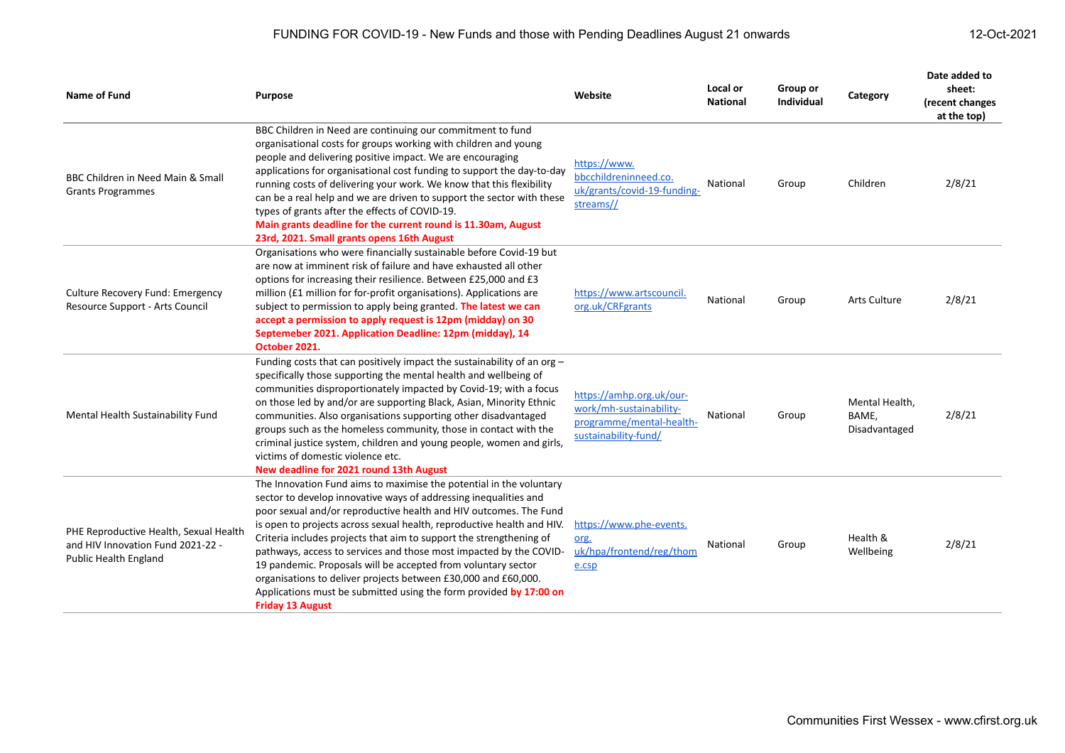| <b>Name of Fund</b>                                                                                         | Purpose                                                                                                                                                                                                                                                                                                                                                                                                                                                                                                                                                                                                                                                                 | Website                                                                                                 | Local or<br><b>National</b> | Group or<br><b>Individual</b> | Category                                 | Date added to<br>sheet:<br>(recent changes<br>at the top) |
|-------------------------------------------------------------------------------------------------------------|-------------------------------------------------------------------------------------------------------------------------------------------------------------------------------------------------------------------------------------------------------------------------------------------------------------------------------------------------------------------------------------------------------------------------------------------------------------------------------------------------------------------------------------------------------------------------------------------------------------------------------------------------------------------------|---------------------------------------------------------------------------------------------------------|-----------------------------|-------------------------------|------------------------------------------|-----------------------------------------------------------|
| BBC Children in Need Main & Small<br><b>Grants Programmes</b>                                               | BBC Children in Need are continuing our commitment to fund<br>organisational costs for groups working with children and young<br>people and delivering positive impact. We are encouraging<br>applications for organisational cost funding to support the day-to-day<br>running costs of delivering your work. We know that this flexibility<br>can be a real help and we are driven to support the sector with these<br>types of grants after the effects of COVID-19.<br>Main grants deadline for the current round is 11.30am, August<br>23rd, 2021. Small grants opens 16th August                                                                                  | https://www.<br>bbcchildreninneed.co.<br>uk/grants/covid-19-funding-<br>streams//                       | National                    | Group                         | Children                                 | 2/8/21                                                    |
| <b>Culture Recovery Fund: Emergency</b><br>Resource Support - Arts Council                                  | Organisations who were financially sustainable before Covid-19 but<br>are now at imminent risk of failure and have exhausted all other<br>options for increasing their resilience. Between £25,000 and £3<br>million (£1 million for for-profit organisations). Applications are<br>subject to permission to apply being granted. The latest we can<br>accept a permission to apply request is 12pm (midday) on 30<br>Septemeber 2021. Application Deadline: 12pm (midday), 14<br>October 2021.                                                                                                                                                                         | https://www.artscouncil.<br>org.uk/CRFgrants                                                            | National                    | Group                         | Arts Culture                             | 2/8/21                                                    |
| Mental Health Sustainability Fund                                                                           | Funding costs that can positively impact the sustainability of an org $-$<br>specifically those supporting the mental health and wellbeing of<br>communities disproportionately impacted by Covid-19; with a focus<br>on those led by and/or are supporting Black, Asian, Minority Ethnic<br>communities. Also organisations supporting other disadvantaged<br>groups such as the homeless community, those in contact with the<br>criminal justice system, children and young people, women and girls,<br>victims of domestic violence etc.<br>New deadline for 2021 round 13th August                                                                                 | https://amhp.org.uk/our-<br>work/mh-sustainability-<br>programme/mental-health-<br>sustainability-fund/ | National                    | Group                         | Mental Health,<br>BAME,<br>Disadvantaged | 2/8/21                                                    |
| PHE Reproductive Health, Sexual Health<br>and HIV Innovation Fund 2021-22 -<br><b>Public Health England</b> | The Innovation Fund aims to maximise the potential in the voluntary<br>sector to develop innovative ways of addressing inequalities and<br>poor sexual and/or reproductive health and HIV outcomes. The Fund<br>is open to projects across sexual health, reproductive health and HIV.<br>Criteria includes projects that aim to support the strengthening of<br>pathways, access to services and those most impacted by the COVID-<br>19 pandemic. Proposals will be accepted from voluntary sector<br>organisations to deliver projects between £30,000 and £60,000.<br>Applications must be submitted using the form provided by 17:00 on<br><b>Friday 13 August</b> | https://www.phe-events.<br>org.<br>uk/hpa/frontend/reg/thom<br>e.csp                                    | National                    | Group                         | Health &<br>Wellbeing                    | 2/8/21                                                    |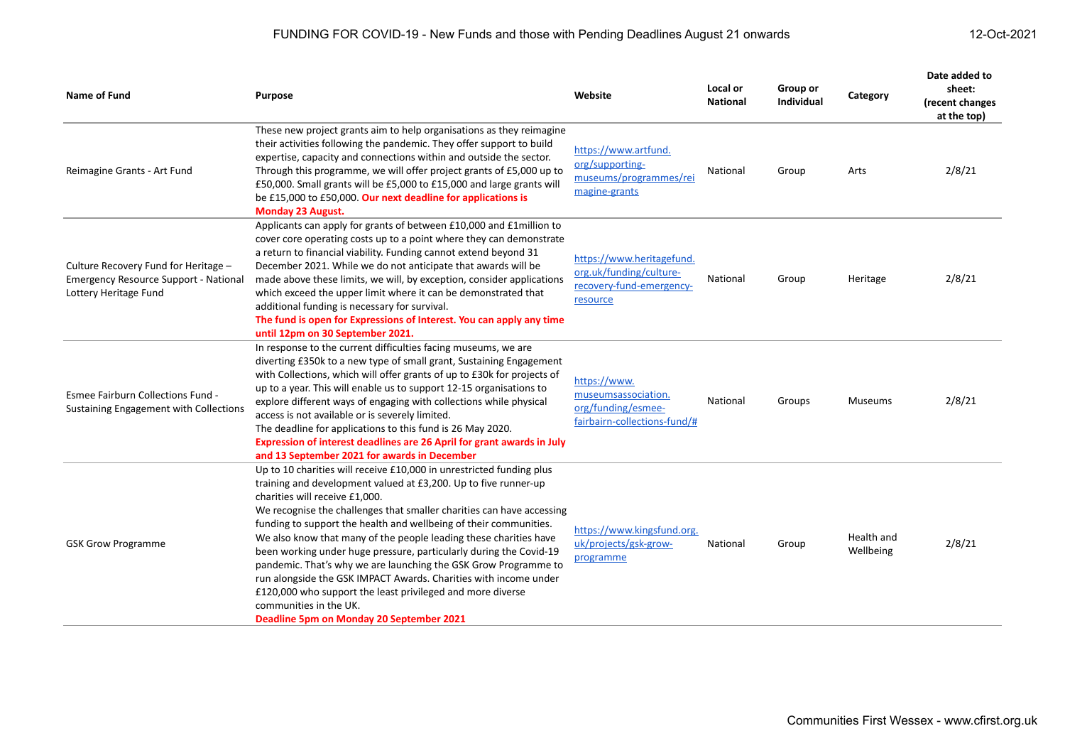| <b>Name of Fund</b>                                                                                           | Purpose                                                                                                                                                                                                                                                                                                                                                                                                                                                                                                                                                                                                                                                                                                                                       | Website                                                                                      | Local or<br><b>National</b> | Group or<br><b>Individual</b> | Category                | Date added to<br>sheet:<br>(recent changes<br>at the top) |
|---------------------------------------------------------------------------------------------------------------|-----------------------------------------------------------------------------------------------------------------------------------------------------------------------------------------------------------------------------------------------------------------------------------------------------------------------------------------------------------------------------------------------------------------------------------------------------------------------------------------------------------------------------------------------------------------------------------------------------------------------------------------------------------------------------------------------------------------------------------------------|----------------------------------------------------------------------------------------------|-----------------------------|-------------------------------|-------------------------|-----------------------------------------------------------|
| Reimagine Grants - Art Fund                                                                                   | These new project grants aim to help organisations as they reimagine<br>their activities following the pandemic. They offer support to build<br>expertise, capacity and connections within and outside the sector.<br>Through this programme, we will offer project grants of £5,000 up to<br>£50,000. Small grants will be £5,000 to £15,000 and large grants will<br>be £15,000 to £50,000. Our next deadline for applications is<br><b>Monday 23 August.</b>                                                                                                                                                                                                                                                                               | https://www.artfund.<br>org/supporting-<br>museums/programmes/rei<br>magine-grants           | National                    | Group                         | Arts                    | 2/8/21                                                    |
| Culture Recovery Fund for Heritage -<br><b>Emergency Resource Support - National</b><br>Lottery Heritage Fund | Applicants can apply for grants of between £10,000 and £1 million to<br>cover core operating costs up to a point where they can demonstrate<br>a return to financial viability. Funding cannot extend beyond 31<br>December 2021. While we do not anticipate that awards will be<br>made above these limits, we will, by exception, consider applications<br>which exceed the upper limit where it can be demonstrated that<br>additional funding is necessary for survival.<br>The fund is open for Expressions of Interest. You can apply any time<br>until 12pm on 30 September 2021.                                                                                                                                                      | https://www.heritagefund.<br>org.uk/funding/culture-<br>recovery-fund-emergency-<br>resource | National                    | Group                         | Heritage                | 2/8/21                                                    |
| Esmee Fairburn Collections Fund -<br><b>Sustaining Engagement with Collections</b>                            | In response to the current difficulties facing museums, we are<br>diverting £350k to a new type of small grant, Sustaining Engagement<br>with Collections, which will offer grants of up to £30k for projects of<br>up to a year. This will enable us to support 12-15 organisations to<br>explore different ways of engaging with collections while physical<br>access is not available or is severely limited.<br>The deadline for applications to this fund is 26 May 2020.<br>Expression of interest deadlines are 26 April for grant awards in July<br>and 13 September 2021 for awards in December                                                                                                                                      | https://www.<br>museumsassociation.<br>org/funding/esmee-<br>fairbairn-collections-fund/#    | National                    | Groups                        | Museums                 | 2/8/21                                                    |
| <b>GSK Grow Programme</b>                                                                                     | Up to 10 charities will receive £10,000 in unrestricted funding plus<br>training and development valued at £3,200. Up to five runner-up<br>charities will receive £1,000.<br>We recognise the challenges that smaller charities can have accessing<br>funding to support the health and wellbeing of their communities.<br>We also know that many of the people leading these charities have<br>been working under huge pressure, particularly during the Covid-19<br>pandemic. That's why we are launching the GSK Grow Programme to<br>run alongside the GSK IMPACT Awards. Charities with income under<br>£120,000 who support the least privileged and more diverse<br>communities in the UK.<br>Deadline 5pm on Monday 20 September 2021 | https://www.kingsfund.org.<br>uk/projects/gsk-grow-<br>programme                             | National                    | Group                         | Health and<br>Wellbeing | 2/8/21                                                    |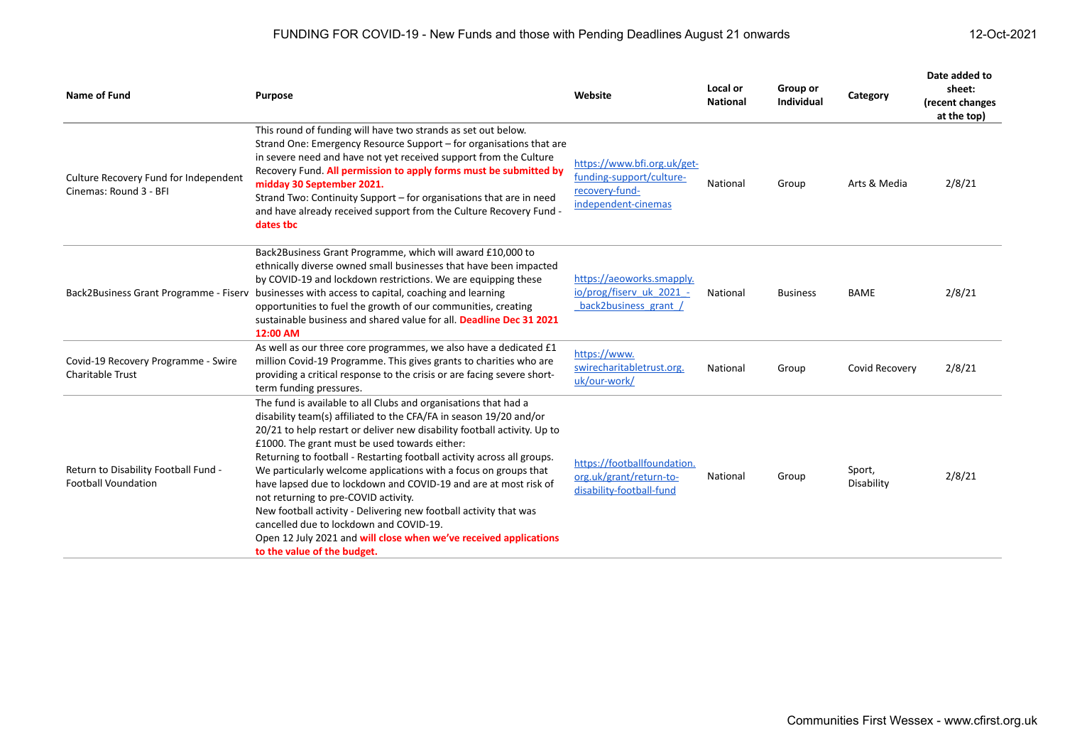| <b>Name of Fund</b>                                                | <b>Purpose</b>                                                                                                                                                                                                                                                                                                                                                                                                                                                                                                                                                                                                                                                                                                                                    | Website                                                                                          | Local or<br><b>National</b> | Group or<br><b>Individual</b> | Category             | Date added to<br>sheet:<br>(recent changes<br>at the top) |
|--------------------------------------------------------------------|---------------------------------------------------------------------------------------------------------------------------------------------------------------------------------------------------------------------------------------------------------------------------------------------------------------------------------------------------------------------------------------------------------------------------------------------------------------------------------------------------------------------------------------------------------------------------------------------------------------------------------------------------------------------------------------------------------------------------------------------------|--------------------------------------------------------------------------------------------------|-----------------------------|-------------------------------|----------------------|-----------------------------------------------------------|
| Culture Recovery Fund for Independent<br>Cinemas: Round 3 - BFI    | This round of funding will have two strands as set out below.<br>Strand One: Emergency Resource Support – for organisations that are<br>in severe need and have not yet received support from the Culture<br>Recovery Fund. All permission to apply forms must be submitted by<br>midday 30 September 2021.<br>Strand Two: Continuity Support – for organisations that are in need<br>and have already received support from the Culture Recovery Fund -<br>dates tbc                                                                                                                                                                                                                                                                             | https://www.bfi.org.uk/get-<br>funding-support/culture-<br>recovery-fund-<br>independent-cinemas | National                    | Group                         | Arts & Media         | 2/8/21                                                    |
| Back2Business Grant Programme - Fiserv                             | Back2Business Grant Programme, which will award £10,000 to<br>ethnically diverse owned small businesses that have been impacted<br>by COVID-19 and lockdown restrictions. We are equipping these<br>businesses with access to capital, coaching and learning<br>opportunities to fuel the growth of our communities, creating<br>sustainable business and shared value for all. Deadline Dec 31 2021<br>12:00 AM                                                                                                                                                                                                                                                                                                                                  | https://aeoworks.smapply.<br>io/prog/fiserv_uk_2021_-<br>back2business grant /                   | National                    | <b>Business</b>               | <b>BAME</b>          | 2/8/21                                                    |
| Covid-19 Recovery Programme - Swire<br><b>Charitable Trust</b>     | As well as our three core programmes, we also have a dedicated £1<br>million Covid-19 Programme. This gives grants to charities who are<br>providing a critical response to the crisis or are facing severe short-<br>term funding pressures.                                                                                                                                                                                                                                                                                                                                                                                                                                                                                                     | https://www.<br>swirecharitabletrust.org.<br>uk/our-work/                                        | National                    | Group                         | Covid Recovery       | 2/8/21                                                    |
| Return to Disability Football Fund -<br><b>Football Voundation</b> | The fund is available to all Clubs and organisations that had a<br>disability team(s) affiliated to the CFA/FA in season 19/20 and/or<br>20/21 to help restart or deliver new disability football activity. Up to<br>£1000. The grant must be used towards either:<br>Returning to football - Restarting football activity across all groups.<br>We particularly welcome applications with a focus on groups that<br>have lapsed due to lockdown and COVID-19 and are at most risk of<br>not returning to pre-COVID activity.<br>New football activity - Delivering new football activity that was<br>cancelled due to lockdown and COVID-19.<br>Open 12 July 2021 and will close when we've received applications<br>to the value of the budget. | https://footballfoundation.<br>org.uk/grant/return-to-<br>disability-football-fund               | National                    | Group                         | Sport,<br>Disability | 2/8/21                                                    |